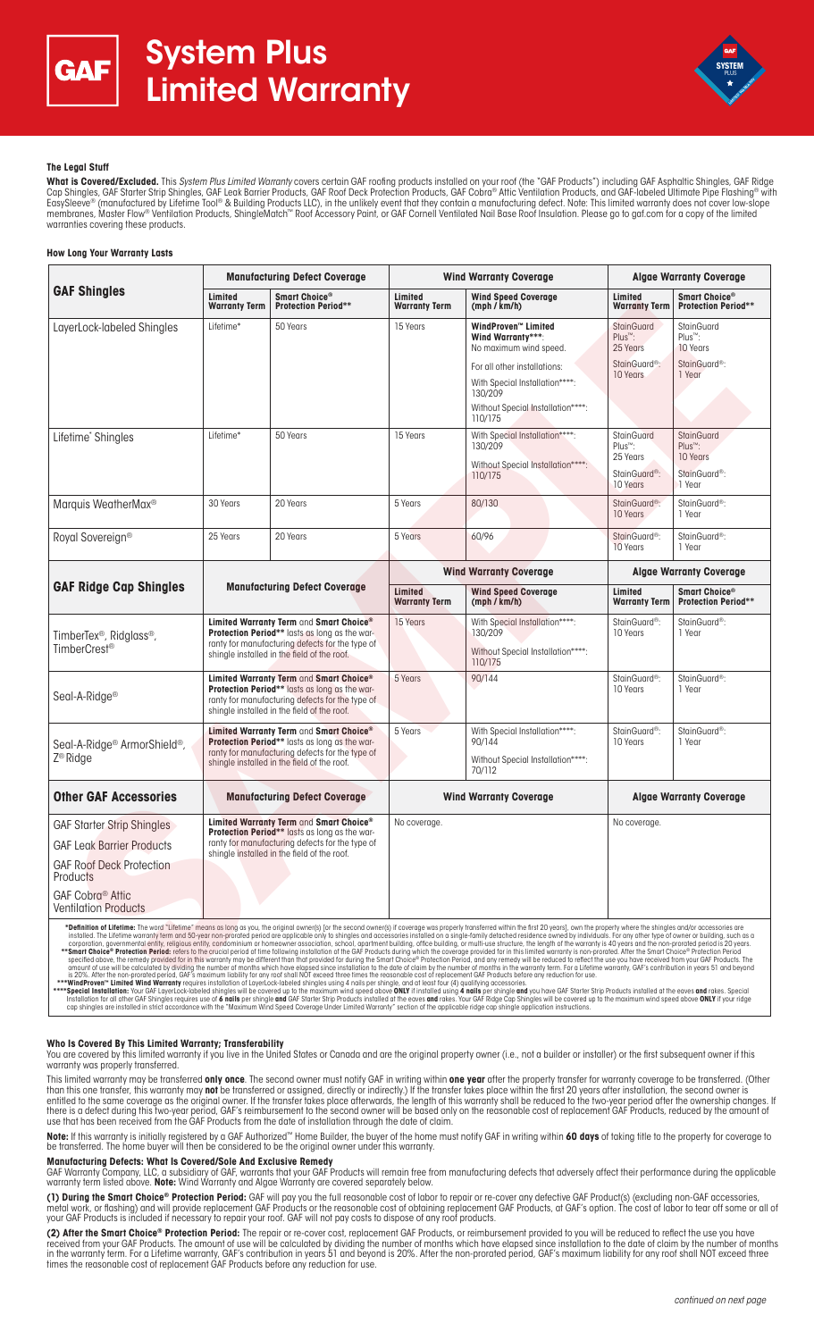



# **The Legal Stuff**

**What is Covered/Excluded.** This System Plus Limited Warranty covers certain GAF roofing products installed on your roof (the "GAF Products") including GAF Asphaltic Shingles, GAF Ridge Cap Shingles, GAF Starter Strip Shingles, GAF Leak Barrier Products, GAF Roof Deck Protection Products, GAF Cobra® Attic Ventilation Products, and GAF-labeled Ultimate Pipe Flashing® with EasySleeve® (manufactured by Lifetime Tool® & Building Products LLC), in the unlikely event that they contain a manufacturing defect. Note: This limited warranty does not cover low-slope membranes, Master Flow® Ventilation Products, ShingleMatch™ Roof Accessory Paint, or GAF Cornell Ventilated Nail Base Roof Insulation. Please go to gaf.com for a copy of the limited warranties covering these products.

## **How Long Your Warranty Lasts**

| <b>Manufacturing Defect Coverage</b>                                                                                                                                                       |                                                         | <b>Wind Warranty Coverage</b>   |                                                                                                                                                                                                 | <b>Algae Warranty Coverage</b>                                                                |                                                                                             |
|--------------------------------------------------------------------------------------------------------------------------------------------------------------------------------------------|---------------------------------------------------------|---------------------------------|-------------------------------------------------------------------------------------------------------------------------------------------------------------------------------------------------|-----------------------------------------------------------------------------------------------|---------------------------------------------------------------------------------------------|
| Limited<br><b>Warranty Term</b>                                                                                                                                                            | Smart Choice <sup>®</sup><br><b>Protection Period**</b> | Limited<br><b>Warranty Term</b> | <b>Wind Speed Coverage</b><br>(mph / km/h)                                                                                                                                                      | Limited<br><b>Warranty Term</b>                                                               | Smart Choice®<br><b>Protection Period**</b>                                                 |
| Lifetime*                                                                                                                                                                                  | 50 Years                                                | 15 Years                        | WindProven™ Limited<br>Wind Warrantv***:<br>No maximum wind speed.<br>For all other installations:<br>With Special Installation****:<br>130/209<br>Without Special Installation****:<br>110/175 | <b>StainGuard</b><br>Plus™:<br>25 Years<br>StainGuard <sup>®</sup> :<br>10 Years              | <b>StainGuard</b><br>Plus <sup>™</sup> :<br>10 Years<br>StainGuard <sup>®</sup> :<br>1 Year |
| Lifetime*                                                                                                                                                                                  | 50 Years                                                | 15 Years                        | With Special Installation****:<br>130/209<br>Without Special Installation****:<br>110/175                                                                                                       | <b>StainGuard</b><br>Plus <sup>™</sup> :<br>25 Years<br>StainGuard <sup>®</sup> :<br>10 Years | <b>StainGuard</b><br>Plus <sup>™</sup> :<br>10 Years<br>StainGuard <sup>®</sup> :<br>1 Year |
| 30 Years                                                                                                                                                                                   | 20 Years                                                | 5 Years                         | 80/130                                                                                                                                                                                          | StainGuard <sup>®</sup> :<br>10 Years                                                         | StainGuard <sup>®</sup> :<br>1 Year                                                         |
| 25 Years                                                                                                                                                                                   | 20 Years                                                | 5 Years                         | 60/96                                                                                                                                                                                           | StainGuard <sup>®</sup> :<br>10 Years                                                         | StainGuard <sup>®</sup> :<br>1 Year                                                         |
| <b>Manufacturing Defect Coverage</b>                                                                                                                                                       |                                                         | <b>Wind Warranty Coverage</b>   |                                                                                                                                                                                                 | <b>Algae Warranty Coverage</b>                                                                |                                                                                             |
|                                                                                                                                                                                            |                                                         | Limited<br><b>Warranty Term</b> | <b>Wind Speed Coverage</b><br>(mph / km/h)                                                                                                                                                      | Limited<br><b>Warranty Term</b>                                                               | Smart Choice®<br><b>Protection Period**</b>                                                 |
| Limited Warranty Term and Smart Choice®<br>Protection Period** lasts as long as the war-<br>ranty for manufacturing defects for the type of<br>shingle installed in the field of the roof. |                                                         | 15 Years                        | With Special Installation****:<br>130/209<br>Without Special Installation****:<br>110/175                                                                                                       | StainGuard <sup>®</sup> :<br>10 Years                                                         | StainGuard <sup>®</sup> :<br>1 Year                                                         |
| Limited Warranty Term and Smart Choice®<br>Protection Period** lasts as long as the war-<br>ranty for manufacturing defects for the type of<br>shingle installed in the field of the roof. |                                                         | 5 Years                         | 90/144                                                                                                                                                                                          | StainGuard <sup>®</sup> :<br>10 Years                                                         | StainGuard <sup>®</sup> :<br>1 Year                                                         |
| Limited Warranty Term and Smart Choice®<br>Protection Period** lasts as long as the war-<br>ranty for manufacturing defects for the type of<br>shingle installed in the field of the roof. |                                                         | 5 Years                         | With Special Installation****:<br>90/144<br>Without Special Installation****:<br>70/112                                                                                                         | StainGuard <sup>®</sup> :<br>10 Years                                                         | StainGuard <sup>®</sup> :<br>1 Year                                                         |
| <b>Manufacturing Defect Coverage</b>                                                                                                                                                       |                                                         | <b>Wind Warranty Coverage</b>   |                                                                                                                                                                                                 | <b>Algae Warranty Coverage</b>                                                                |                                                                                             |
| Limited Warranty Term and Smart Choice®<br>Protection Period** lasts as long as the war-<br>ranty for manufacturing defects for the type of<br>shingle installed in the field of the roof. |                                                         | No coverage.                    |                                                                                                                                                                                                 | No coverage.                                                                                  |                                                                                             |
|                                                                                                                                                                                            |                                                         |                                 |                                                                                                                                                                                                 |                                                                                               |                                                                                             |

instilled. The Lifetime warranty term and 50-year non-proroted period are papied the only to shingles and oceassories are only products installed on a single-form in the coverage to a multi-use structure, the length of the

## **Who Is Covered By This Limited Warranty; Transferability**

You are covered by this limited warranty if you live in the United States or Canada and are the original property owner (i.e., not a builder or installer) or the first subsequent owner if this warranty was properly transferred.

This limited warranty may be transferred **only once**. The second owner must notify GAF in writing within **one year** after the property transfer for warranty coverage to be transferred. (Other than this one transfer, this warranty may **not** be transferred or assigned, directly or indirectly.) If the transfer takes place within the first 20 years after installation, the second owner is entitled to the same coverage as the original owner. If the transfer takes place afterwards, the length of this warranty shall be reduced to the two-year period after the ownership changes. If there is a defect during this two-year period, GAF's reimbursement to the second owner will be based only on the reasonable cost of replacement GAF Products, reduced by the amount of use that has been received from the GAF Products from the date of installation through the date of claim.

**Note:** If this warranty is initially registered by a GAF Authorized™ Home Builder, the buyer of the home must notify GAF in writing within **60 days** of taking title to the property for coverage to be transferred. The home buyer will then be considered to be the original owner under this warranty.

### **Manufacturing Defects: What Is Covered/Sole And Exclusive Remedy**

GAF Warranty Company, LLC, a subsidiary of GAF, warrants that your GAF Products will remain free from manufacturing defects that adversely affect their performance during the applicable<br>warranty term listed above. **Note:**

**(1) During the Smart Choice® Protection Period:** GAF will pay you the full reasonable cost of labor to repair or re-cover any defective GAF Product(s) (excluding non-GAF accessories, metal work, or flashing) and will provide replacement GAF Products or the reasonable cost of obtaining replacement GAF Products, at GAF's option. The cost of labor to tear off some or all of your GAF Products is included if necessary to repair your roof. GAF will not pay costs to dispose of any roof products.

**(2) After the Smart Choice® Protection Period:** The repair or re-cover cost, replacement GAF Products, or reimbursement provided to you will be reduced to reflect the use you have received from your GAF Products. The amount of use will be calculated by dividing the number of months which have elapsed since installation to the date of claim by the number of months in the warranty term. For a Lifetime warranty, GAF's contribution in years 51 and beyond is 20%. After the non-prorated period, GAF's maximum liability for any roof shall NOT exceed three times the reasonable cost of replacement GAF Products before any reduction for use.